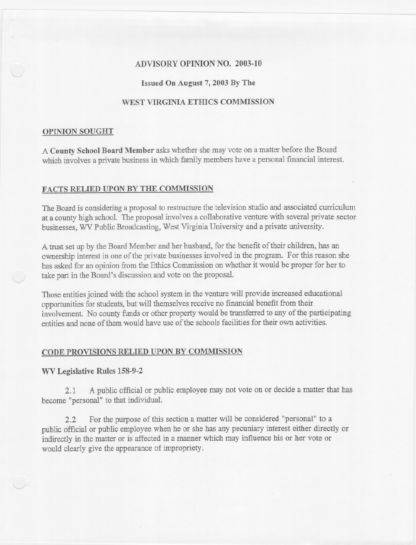## ADVISORY OPINION NO. 2003-10

#### Issued On August 7, 2003 By The

## WEST VIRGINIA ETHICS COMMISSION

#### OPINION SOUGHT

A County School Board Member asks whether she may vote on a matter before the Board which involves a private business in which family members have a personal financial interest.

### FACTS RELIED UPON BY THE COMMISSION

The Board is considering a proposal to restructure the television studio and associated curriculum at a county high school. The proposal involves a collaborative venture with several private sector businesses, WV Public Broadcasting, West Virginia University and a private university.

A trust set up by the Board Member and her husband, for the benefit of their children, has an ownership interest in one of the private businesses involved in the program. For this reason she has asked for an opinion from the Ethics Commission on whether it would be proper for her to take part in the Board's discussion and vote on the proposal.

Those entities joined with the school system in the venture will provide increased educational opportunities for students, but will themselves receive no financial benefit from their involvement. No county funds or other property would be transferred to any of the participating entities and none of them would have use of the schools facilities for their own activities.

# CODE PROVISIONS RELIED UPON BY COMMISSION

#### WV Legislative Rules 158-9-2

2.1 A public official or public employeemay not vote on or decide a matter that has become "personal" to that individual.

2.2 For the purpose of this section a matter will be considered "personal" to a public official or public employee when he or she has any pecuniary interest either directly or indirectly in the matter or is affected in a manner which may influence his or her vote or would clearly give the appearance of impropriety.